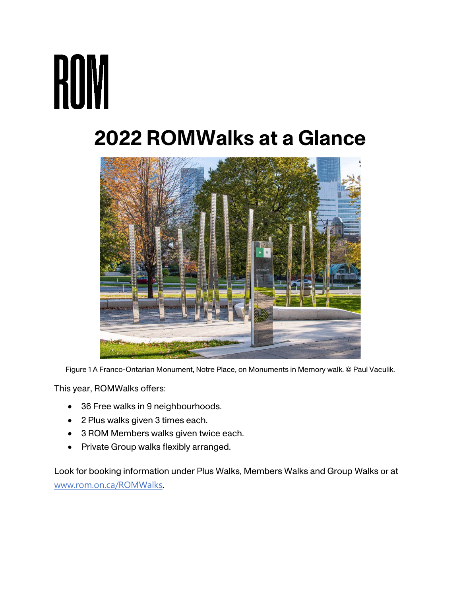# **ROM**

# **2022 ROMWalks at a Glance**



Figure 1 A Franco-Ontarian Monument, Notre Place, on Monuments in Memory walk. © Paul Vaculik.

This year, ROMWalks offers:

- 36 Free walks in 9 neighbourhoods.
- 2 Plus walks given 3 times each.
- 3 ROM Members walks given twice each.
- Private Group walks flexibly arranged.

Look for booking information under Plus Walks, Members Walks and Group Walks or at [www.rom.on.ca/ROMWalks](http://www.rom.on.ca/ROMWalks).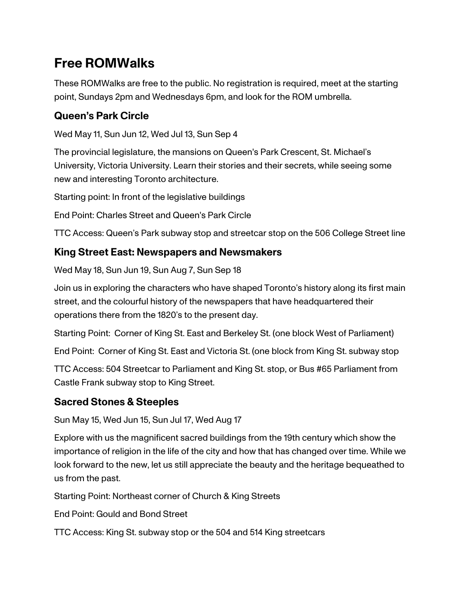## **Free ROMWalks**

These ROMWalks are free to the public. No registration is required, meet at the starting point, Sundays 2pm and Wednesdays 6pm, and look for the ROM umbrella.

#### **Queen's Park Circle**

Wed May 11, Sun Jun 12, Wed Jul 13, Sun Sep 4

The provincial legislature, the mansions on Queen's Park Crescent, St. Michael's University, Victoria University. Learn their stories and their secrets, while seeing some new and interesting Toronto architecture.

Starting point: In front of the legislative buildings

End Point: Charles Street and Queen's Park Circle

TTC Access: Queen's Park subway stop and streetcar stop on the 506 College Street line

#### **King Street East: Newspapers and Newsmakers**

Wed May 18, Sun Jun 19, Sun Aug 7, Sun Sep 18

Join us in exploring the characters who have shaped Toronto's history along its first main street, and the colourful history of the newspapers that have headquartered their operations there from the 1820's to the present day.

Starting Point: Corner of King St. East and Berkeley St. (one block West of Parliament)

End Point: Corner of King St. East and Victoria St. (one block from King St. subway stop

TTC Access: 504 Streetcar to Parliament and King St. stop, or Bus #65 Parliament from Castle Frank subway stop to King Street.

#### **Sacred Stones & Steeples**

Sun May 15, Wed Jun 15, Sun Jul 17, Wed Aug 17

Explore with us the magnificent sacred buildings from the 19th century which show the importance of religion in the life of the city and how that has changed over time. While we look forward to the new, let us still appreciate the beauty and the heritage bequeathed to us from the past.

Starting Point: Northeast corner of Church & King Streets

End Point: Gould and Bond Street

TTC Access: King St. subway stop or the 504 and 514 King streetcars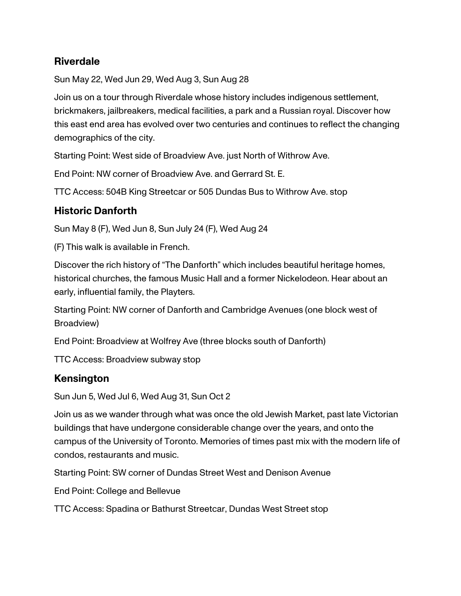#### **Riverdale**

Sun May 22, Wed Jun 29, Wed Aug 3, Sun Aug 28

Join us on a tour through Riverdale whose history includes indigenous settlement, brickmakers, jailbreakers, medical facilities, a park and a Russian royal. Discover how this east end area has evolved over two centuries and continues to reflect the changing demographics of the city.

Starting Point: West side of Broadview Ave. just North of Withrow Ave.

End Point: NW corner of Broadview Ave. and Gerrard St. E.

TTC Access: 504B King Streetcar or 505 Dundas Bus to Withrow Ave. stop

#### **Historic Danforth**

Sun May 8 (F), Wed Jun 8, Sun July 24 (F), Wed Aug 24

(F) This walk is available in French.

Discover the rich history of "The Danforth" which includes beautiful heritage homes, historical churches, the famous Music Hall and a former Nickelodeon. Hear about an early, influential family, the Playters.

Starting Point: NW corner of Danforth and Cambridge Avenues (one block west of Broadview)

End Point: Broadview at Wolfrey Ave (three blocks south of Danforth)

TTC Access: Broadview subway stop

#### **Kensington**

Sun Jun 5, Wed Jul 6, Wed Aug 31, Sun Oct 2

Join us as we wander through what was once the old Jewish Market, past late Victorian buildings that have undergone considerable change over the years, and onto the campus of the University of Toronto. Memories of times past mix with the modern life of condos, restaurants and music.

Starting Point: SW corner of Dundas Street West and Denison Avenue

End Point: College and Bellevue

TTC Access: Spadina or Bathurst Streetcar, Dundas West Street stop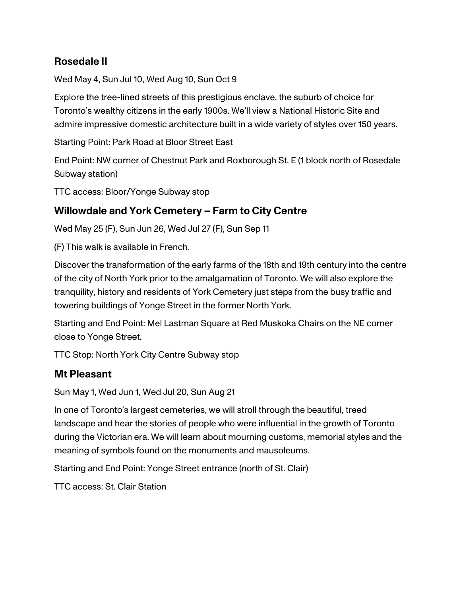#### **Rosedale II**

Wed May 4, Sun Jul 10, Wed Aug 10, Sun Oct 9

Explore the tree-lined streets of this prestigious enclave, the suburb of choice for Toronto's wealthy citizens in the early 1900s. We'll view a National Historic Site and admire impressive domestic architecture built in a wide variety of styles over 150 years.

Starting Point: Park Road at Bloor Street East

End Point: NW corner of Chestnut Park and Roxborough St. E (1 block north of Rosedale Subway station)

TTC access: Bloor/Yonge Subway stop

#### **Willowdale and York Cemetery – Farm to City Centre**

Wed May 25 (F), Sun Jun 26, Wed Jul 27 (F), Sun Sep 11

(F) This walk is available in French.

Discover the transformation of the early farms of the 18th and 19th century into the centre of the city of North York prior to the amalgamation of Toronto. We will also explore the tranquility, history and residents of York Cemetery just steps from the busy traffic and towering buildings of Yonge Street in the former North York.

Starting and End Point: Mel Lastman Square at Red Muskoka Chairs on the NE corner close to Yonge Street.

TTC Stop: North York City Centre Subway stop

#### **Mt Pleasant**

Sun May 1, Wed Jun 1, Wed Jul 20, Sun Aug 21

In one of Toronto's largest cemeteries, we will stroll through the beautiful, treed landscape and hear the stories of people who were influential in the growth of Toronto during the Victorian era. We will learn about mourning customs, memorial styles and the meaning of symbols found on the monuments and mausoleums.

Starting and End Point: Yonge Street entrance (north of St. Clair)

TTC access: St. Clair Station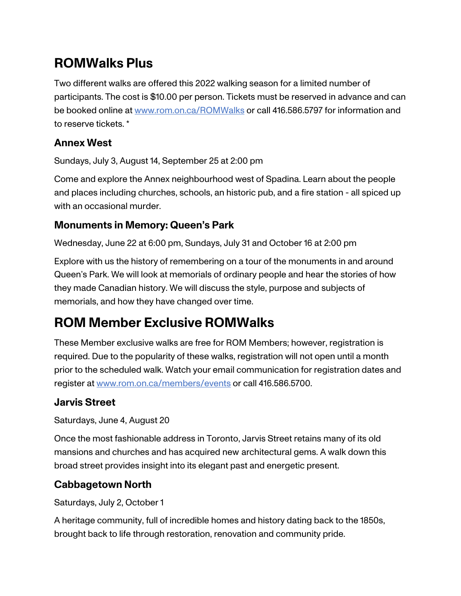## **ROMWalks Plus**

Two different walks are offered this 2022 walking season for a limited number of participants. The cost is \$10.00 per person. Tickets must be reserved in advance and can be booked online at [www.rom.on.ca/ROMWalks](https://www.rom.on.ca/en/whats-on/romwalks) or call 416.586.5797 for information and to reserve tickets. \*

#### **Annex West**

Sundays, July 3, August 14, September 25 at 2:00 pm

Come and explore the Annex neighbourhood west of Spadina. Learn about the people and places including churches, schools, an historic pub, and a fire station - all spiced up with an occasional murder.

#### **Monuments in Memory: Queen's Park**

Wednesday, June 22 at 6:00 pm, Sundays, July 31 and October 16 at 2:00 pm

Explore with us the history of remembering on a tour of the monuments in and around Queen's Park. We will look at memorials of ordinary people and hear the stories of how they made Canadian history. We will discuss the style, purpose and subjects of memorials, and how they have changed over time.

# **ROM Member Exclusive ROMWalks**

These Member exclusive walks are free for ROM Members; however, registration is required. Due to the popularity of these walks, registration will not open until a month prior to the scheduled walk. Watch your email communication for registration dates and register at [www.rom.on.ca/members/events](https://www.rom.on.ca/en/join-us/membership/member-events) or call 416.586.5700.

#### **Jarvis Street**

Saturdays, June 4, August 20

Once the most fashionable address in Toronto, Jarvis Street retains many of its old mansions and churches and has acquired new architectural gems. A walk down this broad street provides insight into its elegant past and energetic present.

#### **Cabbagetown North**

Saturdays, July 2, October 1

A heritage community, full of incredible homes and history dating back to the 1850s, brought back to life through restoration, renovation and community pride.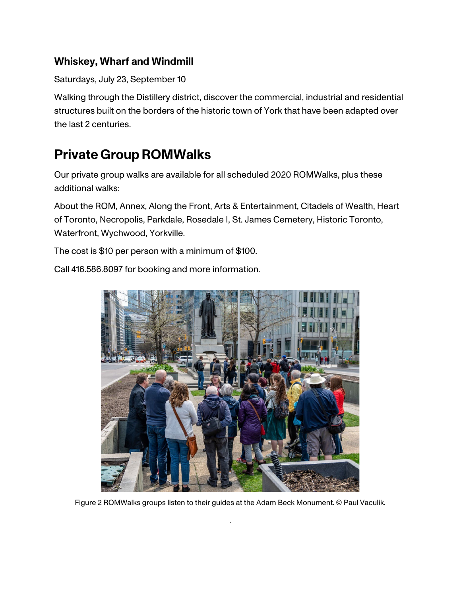#### **Whiskey, Wharf and Windmill**

Saturdays, July 23, September 10

Walking through the Distillery district, discover the commercial, industrial and residential structures built on the borders of the historic town of York that have been adapted over the last 2 centuries.

## **Private GroupROMWalks**

Our private group walks are available for all scheduled 2020 ROMWalks, plus these additional walks:

About the ROM, Annex, Along the Front, Arts & Entertainment, Citadels of Wealth, Heart of Toronto, Necropolis, Parkdale, Rosedale I, St. James Cemetery, Historic Toronto, Waterfront, Wychwood, Yorkville.

The cost is \$10 per person with a minimum of \$100.

Call 416.586.8097 for booking and more information.



Figure 2 ROMWalks groups listen to their guides at the Adam Beck Monument. © Paul Vaculik.

.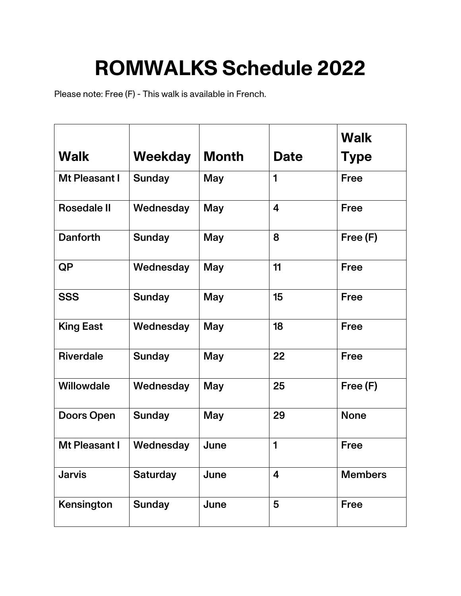# **ROMWALKS Schedule 2022**

Please note: Free (F) - This walk is available in French.

|                    |                 |              |                         | <b>Walk</b>    |
|--------------------|-----------------|--------------|-------------------------|----------------|
| <b>Walk</b>        | Weekday         | <b>Month</b> | <b>Date</b>             | <b>Type</b>    |
| Mt Pleasant I      | <b>Sunday</b>   | <b>May</b>   | 1                       | <b>Free</b>    |
| <b>Rosedale II</b> | Wednesday       | <b>May</b>   | $\overline{\mathbf{4}}$ | <b>Free</b>    |
| <b>Danforth</b>    | <b>Sunday</b>   | <b>May</b>   | 8                       | Free (F)       |
| <b>QP</b>          | Wednesday       | <b>May</b>   | 11                      | <b>Free</b>    |
| <b>SSS</b>         | <b>Sunday</b>   | <b>May</b>   | 15                      | Free           |
| <b>King East</b>   | Wednesday       | <b>May</b>   | 18                      | <b>Free</b>    |
| <b>Riverdale</b>   | <b>Sunday</b>   | May          | 22                      | <b>Free</b>    |
| Willowdale         | Wednesday       | <b>May</b>   | 25                      | Free (F)       |
| <b>Doors Open</b>  | <b>Sunday</b>   | <b>May</b>   | 29                      | <b>None</b>    |
| Mt Pleasant I      | Wednesday       | June         | 1                       | <b>Free</b>    |
| <b>Jarvis</b>      | <b>Saturday</b> | June         | $\overline{\mathbf{4}}$ | <b>Members</b> |
| Kensington         | <b>Sunday</b>   | June         | 5                       | <b>Free</b>    |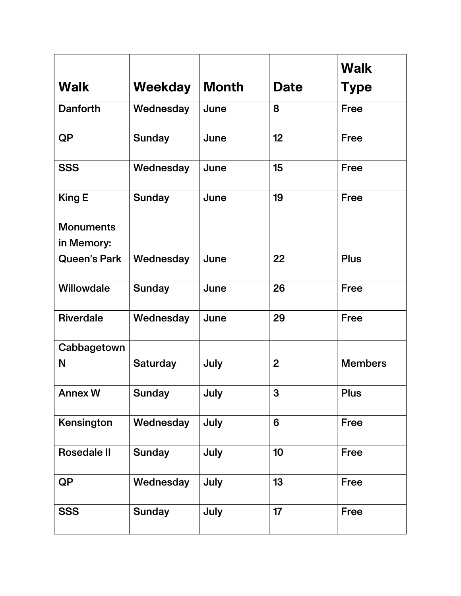|                                |                 |       |                 | <b>Walk</b>    |
|--------------------------------|-----------------|-------|-----------------|----------------|
| <b>Walk</b>                    | Weekday         | Month | <b>Date</b>     | <b>Type</b>    |
| <b>Danforth</b>                | Wednesday       | June  | 8               | <b>Free</b>    |
| <b>QP</b>                      | <b>Sunday</b>   | June  | 12 <sub>2</sub> | <b>Free</b>    |
| <b>SSS</b>                     | Wednesday       | June  | 15              | <b>Free</b>    |
| <b>King E</b>                  | <b>Sunday</b>   | June  | 19              | <b>Free</b>    |
| <b>Monuments</b><br>in Memory: |                 |       |                 |                |
| <b>Queen's Park</b>            | Wednesday       | June  | 22              | <b>Plus</b>    |
| Willowdale                     | <b>Sunday</b>   | June  | 26              | <b>Free</b>    |
| <b>Riverdale</b>               | Wednesday       | June  | 29              | <b>Free</b>    |
| Cabbagetown                    |                 |       |                 |                |
| N                              | <b>Saturday</b> | July  | $\overline{2}$  | <b>Members</b> |
| <b>Annex W</b>                 | <b>Sunday</b>   | July  | 3               | <b>Plus</b>    |
| Kensington                     | Wednesday       | July  | 6               | Free           |
| <b>Rosedale II</b>             | <b>Sunday</b>   | July  | 10              | <b>Free</b>    |
| <b>QP</b>                      | Wednesday       | July  | 13              | <b>Free</b>    |
| <b>SSS</b>                     | <b>Sunday</b>   | July  | 17              | Free           |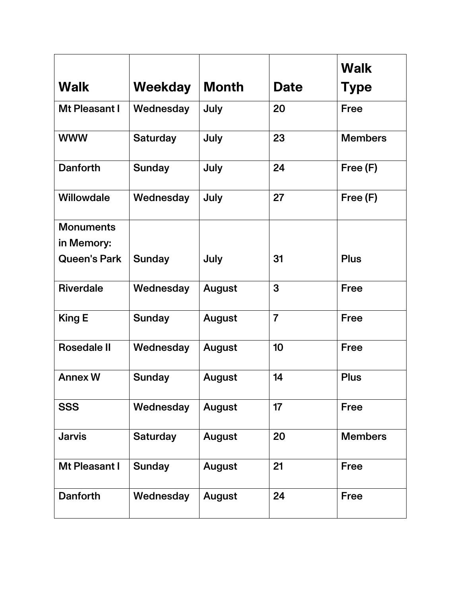|                     |                 |               |                | <b>Walk</b>    |
|---------------------|-----------------|---------------|----------------|----------------|
| <b>Walk</b>         | Weekday         | <b>Month</b>  | <b>Date</b>    | <b>Type</b>    |
| Mt Pleasant I       | Wednesday       | July          | 20             | <b>Free</b>    |
| <b>WWW</b>          | <b>Saturday</b> | July          | 23             | <b>Members</b> |
| <b>Danforth</b>     | <b>Sunday</b>   | July          | 24             | Free (F)       |
| Willowdale          | Wednesday       | July          | 27             | Free (F)       |
| <b>Monuments</b>    |                 |               |                |                |
| in Memory:          |                 |               |                |                |
| <b>Queen's Park</b> | <b>Sunday</b>   | July          | 31             | <b>Plus</b>    |
| <b>Riverdale</b>    | Wednesday       | August        | 3              | <b>Free</b>    |
| <b>King E</b>       | <b>Sunday</b>   | August        | $\overline{7}$ | <b>Free</b>    |
| <b>Rosedale II</b>  | Wednesday       | August        | 10             | <b>Free</b>    |
| <b>Annex W</b>      | <b>Sunday</b>   | August        | 14             | <b>Plus</b>    |
| <b>SSS</b>          | Wednesday       | August        | 17             | <b>Free</b>    |
| <b>Jarvis</b>       | <b>Saturday</b> | <b>August</b> | 20             | <b>Members</b> |
| Mt Pleasant I       | <b>Sunday</b>   | August        | 21             | <b>Free</b>    |
| <b>Danforth</b>     | Wednesday       | August        | 24             | <b>Free</b>    |